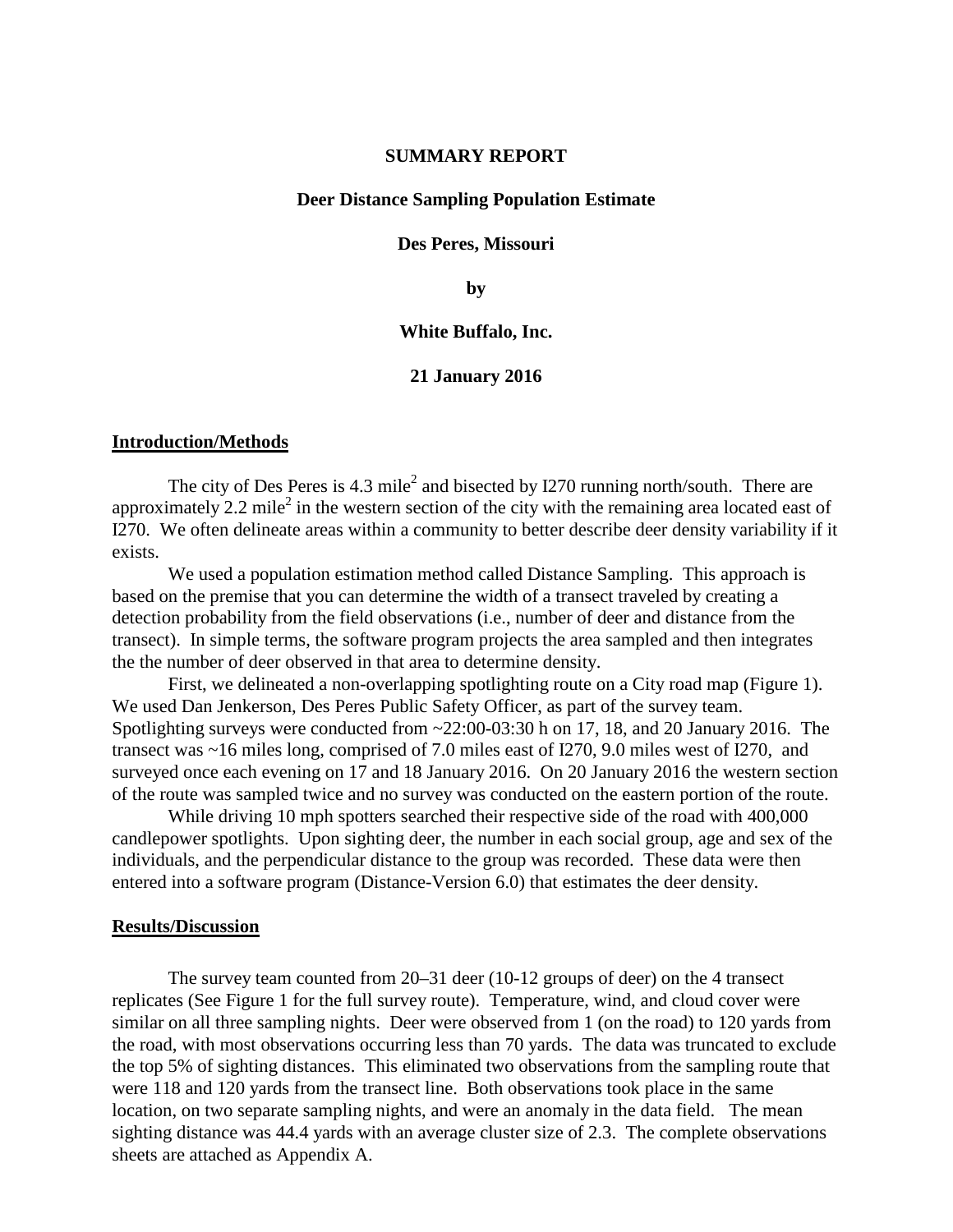### **SUMMARY REPORT**

### **Deer Distance Sampling Population Estimate**

### **Des Peres, Missouri**

**by**

### **White Buffalo, Inc.**

### **21 January 2016**

#### **Introduction/Methods**

The city of Des Peres is  $4.3$  mile<sup>2</sup> and bisected by I270 running north/south. There are approximately 2.2 mile<sup>2</sup> in the western section of the city with the remaining area located east of I270. We often delineate areas within a community to better describe deer density variability if it exists.

We used a population estimation method called Distance Sampling. This approach is based on the premise that you can determine the width of a transect traveled by creating a detection probability from the field observations (i.e., number of deer and distance from the transect). In simple terms, the software program projects the area sampled and then integrates the the number of deer observed in that area to determine density.

First, we delineated a non-overlapping spotlighting route on a City road map (Figure 1). We used Dan Jenkerson, Des Peres Public Safety Officer, as part of the survey team. Spotlighting surveys were conducted from ~22:00-03:30 h on 17, 18, and 20 January 2016. The transect was ~16 miles long, comprised of 7.0 miles east of I270, 9.0 miles west of I270, and surveyed once each evening on 17 and 18 January 2016. On 20 January 2016 the western section of the route was sampled twice and no survey was conducted on the eastern portion of the route.

While driving 10 mph spotters searched their respective side of the road with 400,000 candlepower spotlights. Upon sighting deer, the number in each social group, age and sex of the individuals, and the perpendicular distance to the group was recorded. These data were then entered into a software program (Distance-Version 6.0) that estimates the deer density.

### **Results/Discussion**

The survey team counted from 20–31 deer (10-12 groups of deer) on the 4 transect replicates (See Figure 1 for the full survey route). Temperature, wind, and cloud cover were similar on all three sampling nights. Deer were observed from 1 (on the road) to 120 yards from the road, with most observations occurring less than 70 yards. The data was truncated to exclude the top 5% of sighting distances. This eliminated two observations from the sampling route that were 118 and 120 yards from the transect line. Both observations took place in the same location, on two separate sampling nights, and were an anomaly in the data field. The mean sighting distance was 44.4 yards with an average cluster size of 2.3. The complete observations sheets are attached as Appendix A.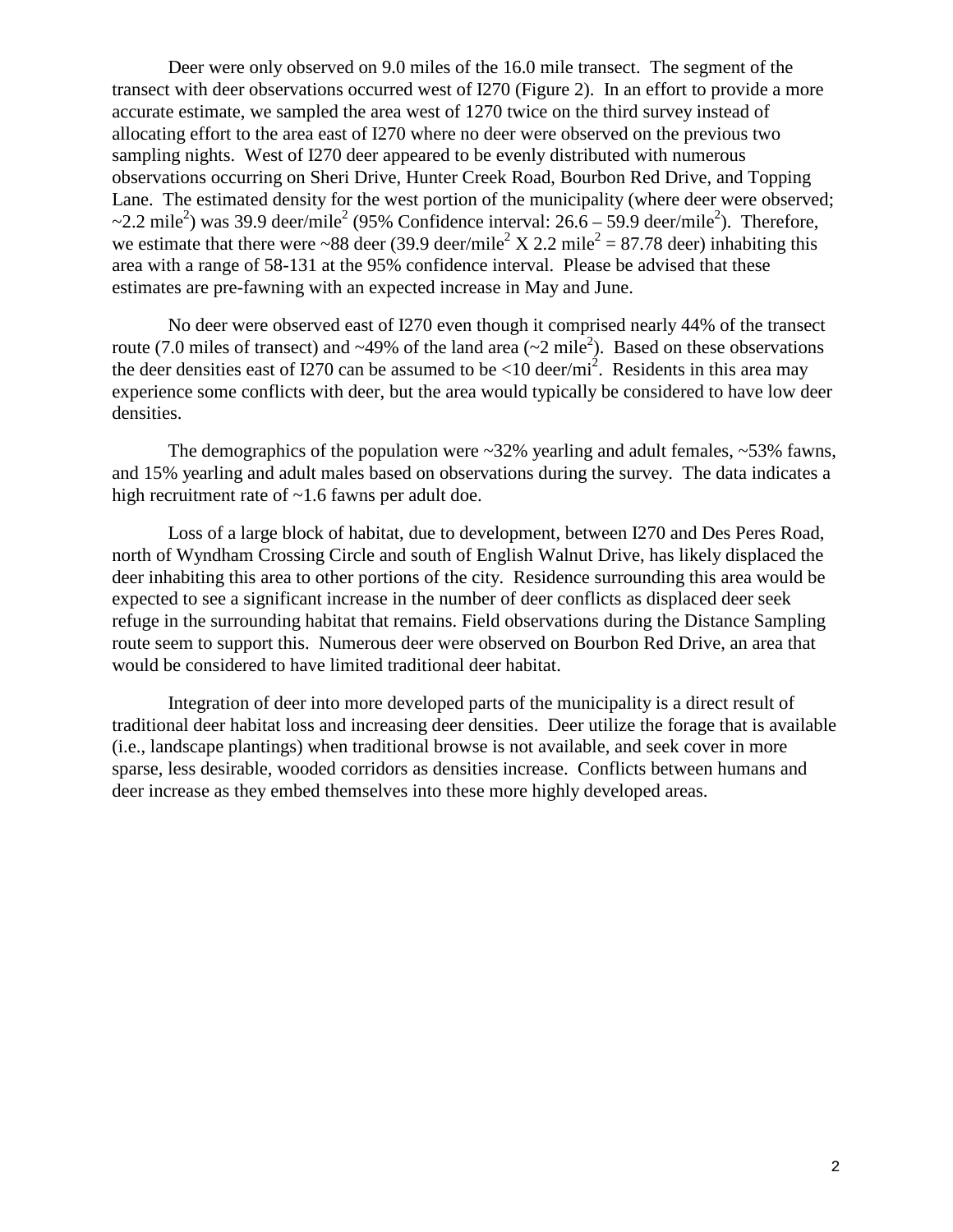Deer were only observed on 9.0 miles of the 16.0 mile transect. The segment of the transect with deer observations occurred west of I270 (Figure 2). In an effort to provide a more accurate estimate, we sampled the area west of 1270 twice on the third survey instead of allocating effort to the area east of I270 where no deer were observed on the previous two sampling nights. West of I270 deer appeared to be evenly distributed with numerous observations occurring on Sheri Drive, Hunter Creek Road, Bourbon Red Drive, and Topping Lane. The estimated density for the west portion of the municipality (where deer were observed;  $\sim$ 2.2 mile<sup>2</sup>) was 39.9 deer/mile<sup>2</sup> (95% Confidence interval: 26.6 – 59.9 deer/mile<sup>2</sup>). Therefore, we estimate that there were ~88 deer (39.9 deer/mile<sup>2</sup> X 2.2 mile<sup>2</sup> = 87.78 deer) inhabiting this area with a range of 58-131 at the 95% confidence interval. Please be advised that these estimates are pre-fawning with an expected increase in May and June.

No deer were observed east of I270 even though it comprised nearly 44% of the transect route (7.0 miles of transect) and ~49% of the land area (~2 mile<sup>2</sup>). Based on these observations the deer densities east of I270 can be assumed to be  $< 10$  deer/mi<sup>2</sup>. Residents in this area may experience some conflicts with deer, but the area would typically be considered to have low deer densities.

The demographics of the population were  $\sim 32\%$  yearling and adult females,  $\sim 53\%$  fawns, and 15% yearling and adult males based on observations during the survey. The data indicates a high recruitment rate of ~1.6 fawns per adult doe.

Loss of a large block of habitat, due to development, between I270 and Des Peres Road, north of Wyndham Crossing Circle and south of English Walnut Drive, has likely displaced the deer inhabiting this area to other portions of the city. Residence surrounding this area would be expected to see a significant increase in the number of deer conflicts as displaced deer seek refuge in the surrounding habitat that remains. Field observations during the Distance Sampling route seem to support this. Numerous deer were observed on Bourbon Red Drive, an area that would be considered to have limited traditional deer habitat.

Integration of deer into more developed parts of the municipality is a direct result of traditional deer habitat loss and increasing deer densities. Deer utilize the forage that is available (i.e., landscape plantings) when traditional browse is not available, and seek cover in more sparse, less desirable, wooded corridors as densities increase. Conflicts between humans and deer increase as they embed themselves into these more highly developed areas.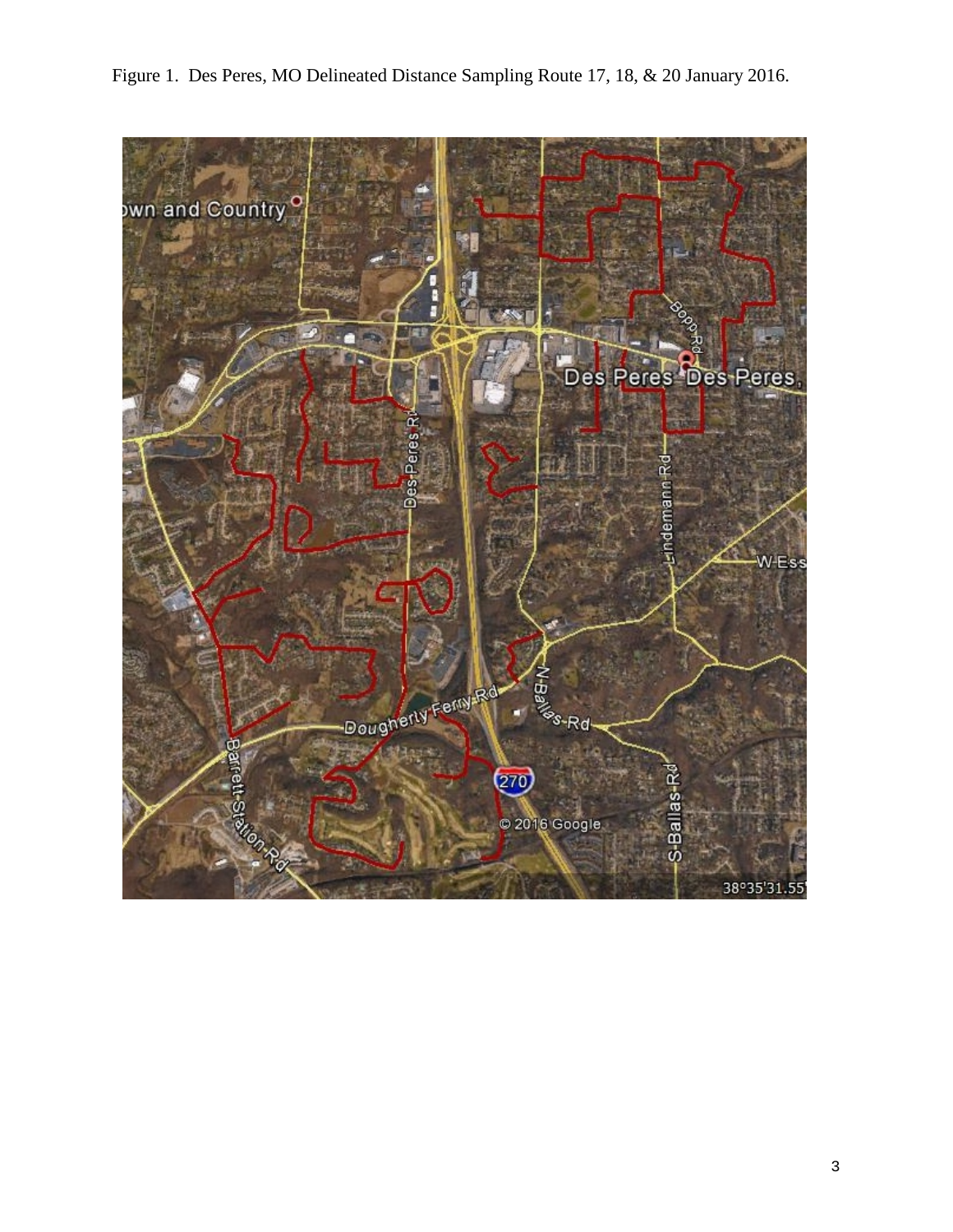

Figure 1. Des Peres, MO Delineated Distance Sampling Route 17, 18, & 20 January 2016.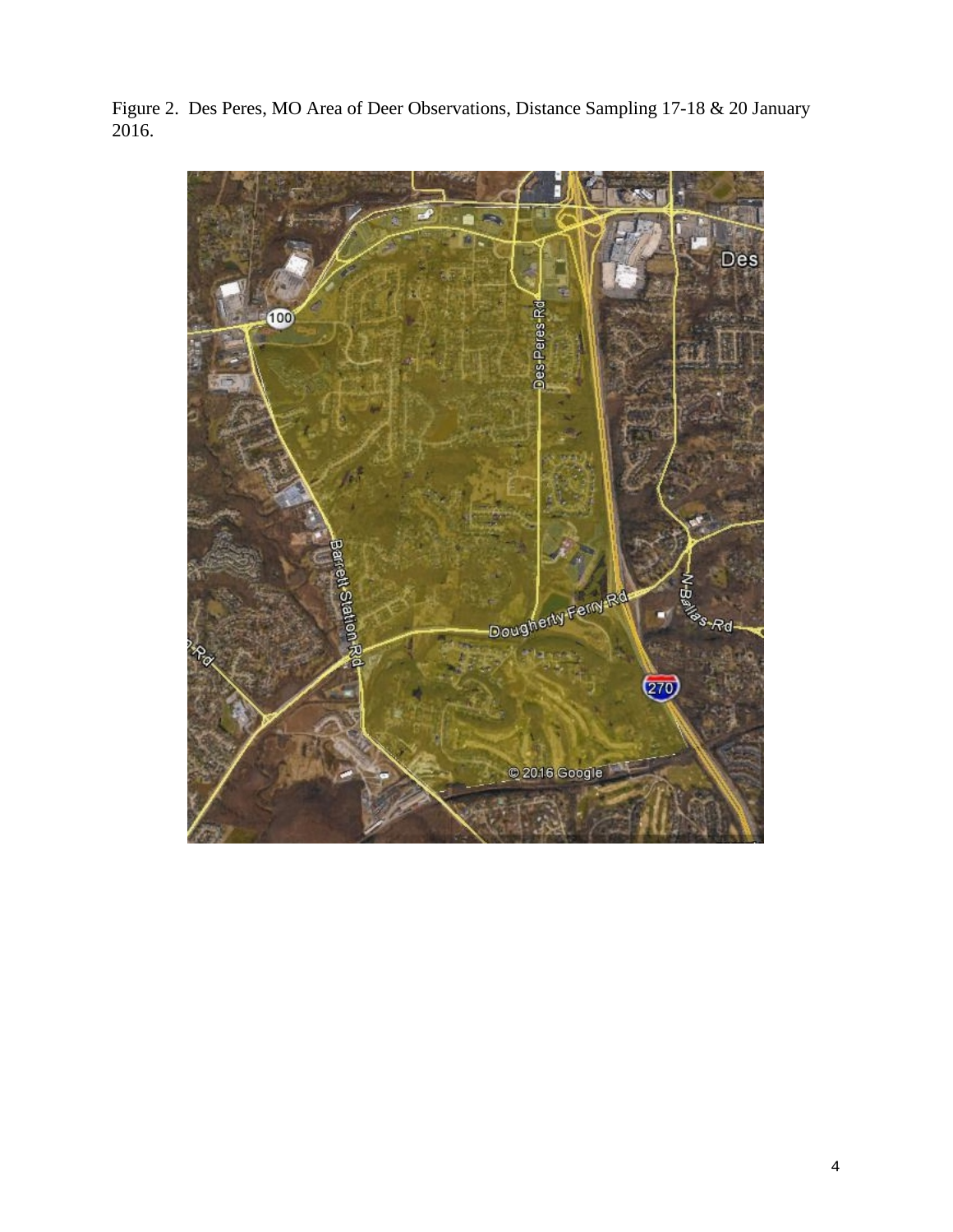Figure 2. Des Peres, MO Area of Deer Observations, Distance Sampling 17-18 & 20 January 2016.

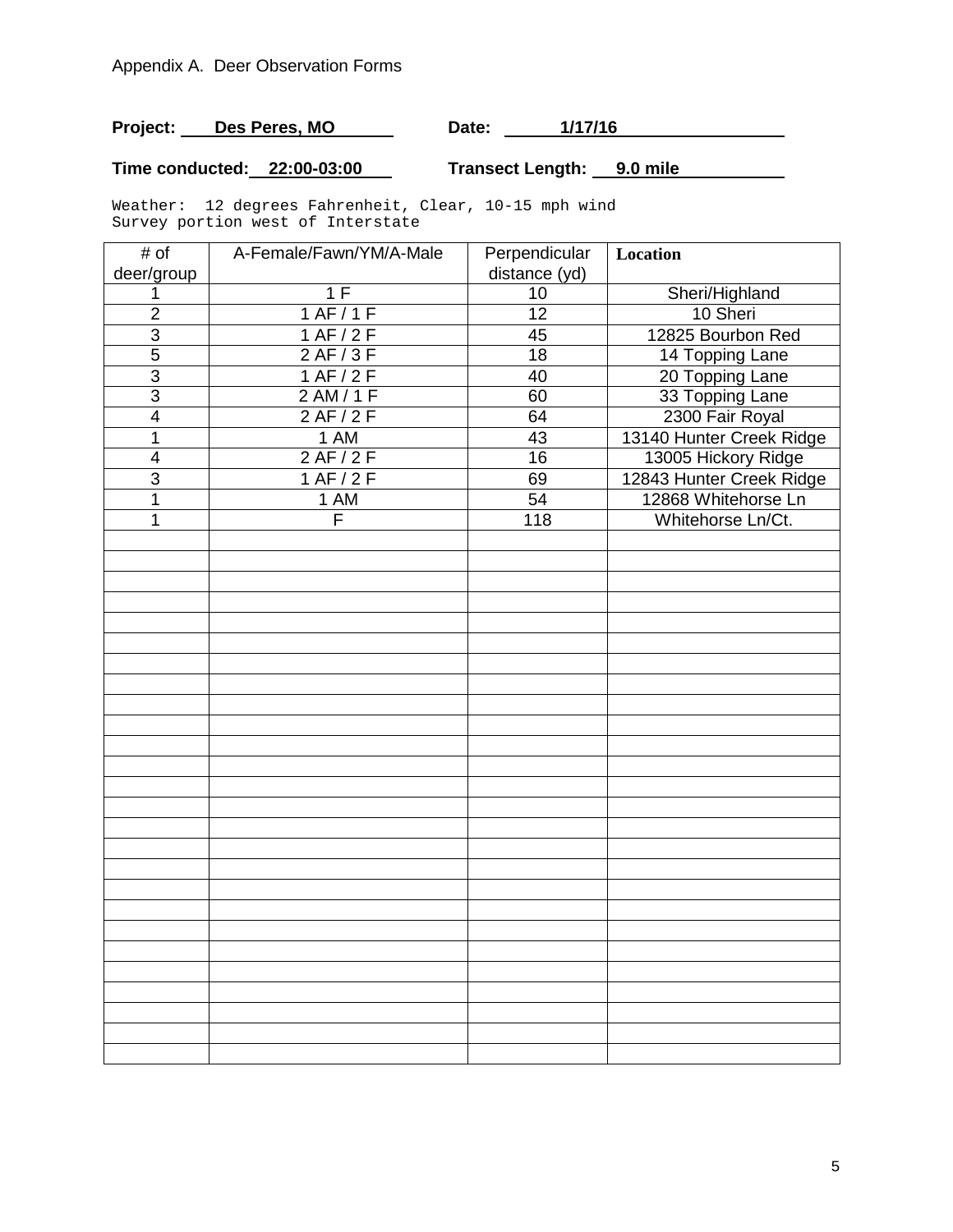# **Project:** Des Peres, MO Date: 1/17/16

## **Time conducted: 22:00-03:00 Transect Length: 9.0 mile**

Weather: 12 degrees Fahrenheit, Clear, 10-15 mph wind Survey portion west of Interstate

| # of                    | A-Female/Fawn/YM/A-Male | Perpendicular   | Location                 |
|-------------------------|-------------------------|-----------------|--------------------------|
| deer/group              |                         | distance (yd)   |                          |
| 1                       | 1 F                     | 10              | Sheri/Highland           |
| $\overline{2}$          | 1 AF/1F                 | $\overline{12}$ | 10 Sheri                 |
| $\overline{3}$          | 1 AF / 2 F              | 45              | 12825 Bourbon Red        |
| $\overline{5}$          | 2 AF/3F                 | 18              | 14 Topping Lane          |
| $\overline{3}$          | 1 AF/2F                 | 40              | 20 Topping Lane          |
| $\overline{3}$          | 2 AM/1F                 | 60              | 33 Topping Lane          |
| $\overline{4}$          | 2AF/2F                  | 64              | 2300 Fair Royal          |
| 1                       | 1 AM                    | 43              | 13140 Hunter Creek Ridge |
| $\overline{\mathbf{4}}$ | 2 AF/2F                 | 16              | 13005 Hickory Ridge      |
| $\overline{3}$          | 1 AF/2F                 | 69              | 12843 Hunter Creek Ridge |
| $\mathbf 1$             | 1 AM                    | 54              | 12868 Whitehorse Ln      |
| 1                       | $\overline{\mathsf{F}}$ | 118             | Whitehorse Ln/Ct.        |
|                         |                         |                 |                          |
|                         |                         |                 |                          |
|                         |                         |                 |                          |
|                         |                         |                 |                          |
|                         |                         |                 |                          |
|                         |                         |                 |                          |
|                         |                         |                 |                          |
|                         |                         |                 |                          |
|                         |                         |                 |                          |
|                         |                         |                 |                          |
|                         |                         |                 |                          |
|                         |                         |                 |                          |
|                         |                         |                 |                          |
|                         |                         |                 |                          |
|                         |                         |                 |                          |
|                         |                         |                 |                          |
|                         |                         |                 |                          |
|                         |                         |                 |                          |
|                         |                         |                 |                          |
|                         |                         |                 |                          |
|                         |                         |                 |                          |
|                         |                         |                 |                          |
|                         |                         |                 |                          |
|                         |                         |                 |                          |
|                         |                         |                 |                          |
|                         |                         |                 |                          |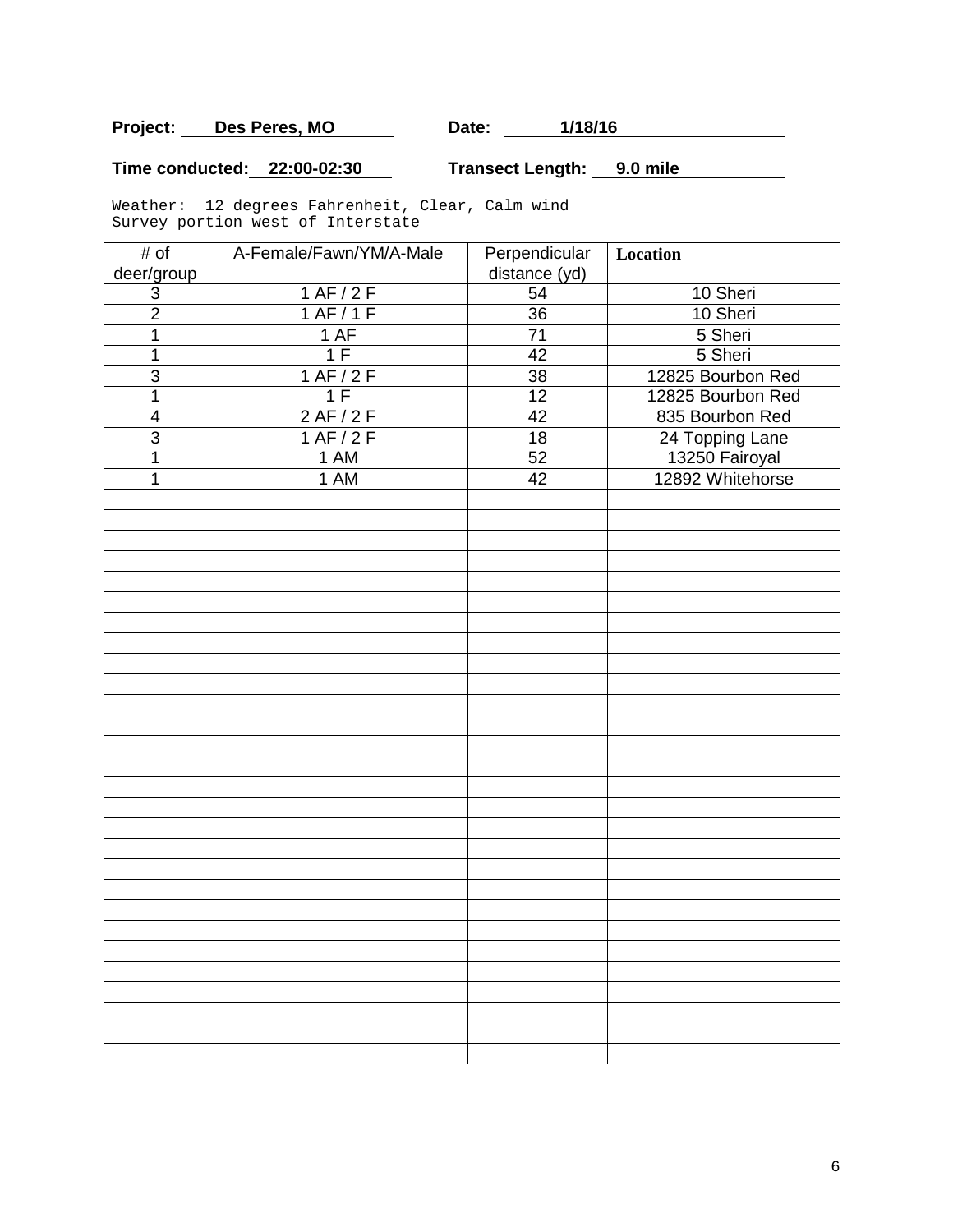# **Project:** Des Peres, MO Date: 1/18/16

## **Time conducted: 22:00-02:30 Transect Length: 9.0 mile**

Weather: 12 degrees Fahrenheit, Clear, Calm wind Survey portion west of Interstate

| # of                      | A-Female/Fawn/YM/A-Male | Perpendicular   | Location          |
|---------------------------|-------------------------|-----------------|-------------------|
| deer/group                |                         | distance (yd)   |                   |
| $\ensuremath{\mathsf{3}}$ | 1 AF/2F                 | 54              | 10 Sheri          |
| $\overline{2}$            | 1 AF/1F                 | $\overline{36}$ | 10 Sheri          |
| 1                         | 1 AF                    | $\overline{71}$ | 5 Sheri           |
| $\mathbf 1$               | 1F                      | 42              | 5 Sheri           |
| $\overline{3}$            | 1 AF/2F                 | $\overline{38}$ | 12825 Bourbon Red |
| $\overline{1}$            | 1 F                     | $\overline{12}$ | 12825 Bourbon Red |
| $\overline{\mathbf{4}}$   | 2AF/2F                  | 42              | 835 Bourbon Red   |
| $\overline{3}$            | 1 AF/2F                 | $\overline{18}$ | 24 Topping Lane   |
| $\mathbf 1$               | 1 AM                    | 52              | 13250 Fairoyal    |
| 1                         | 1 AM                    | 42              | 12892 Whitehorse  |
|                           |                         |                 |                   |
|                           |                         |                 |                   |
|                           |                         |                 |                   |
|                           |                         |                 |                   |
|                           |                         |                 |                   |
|                           |                         |                 |                   |
|                           |                         |                 |                   |
|                           |                         |                 |                   |
|                           |                         |                 |                   |
|                           |                         |                 |                   |
|                           |                         |                 |                   |
|                           |                         |                 |                   |
|                           |                         |                 |                   |
|                           |                         |                 |                   |
|                           |                         |                 |                   |
|                           |                         |                 |                   |
|                           |                         |                 |                   |
|                           |                         |                 |                   |
|                           |                         |                 |                   |
|                           |                         |                 |                   |
|                           |                         |                 |                   |
|                           |                         |                 |                   |
|                           |                         |                 |                   |
|                           |                         |                 |                   |
|                           |                         |                 |                   |
|                           |                         |                 |                   |
|                           |                         |                 |                   |
|                           |                         |                 |                   |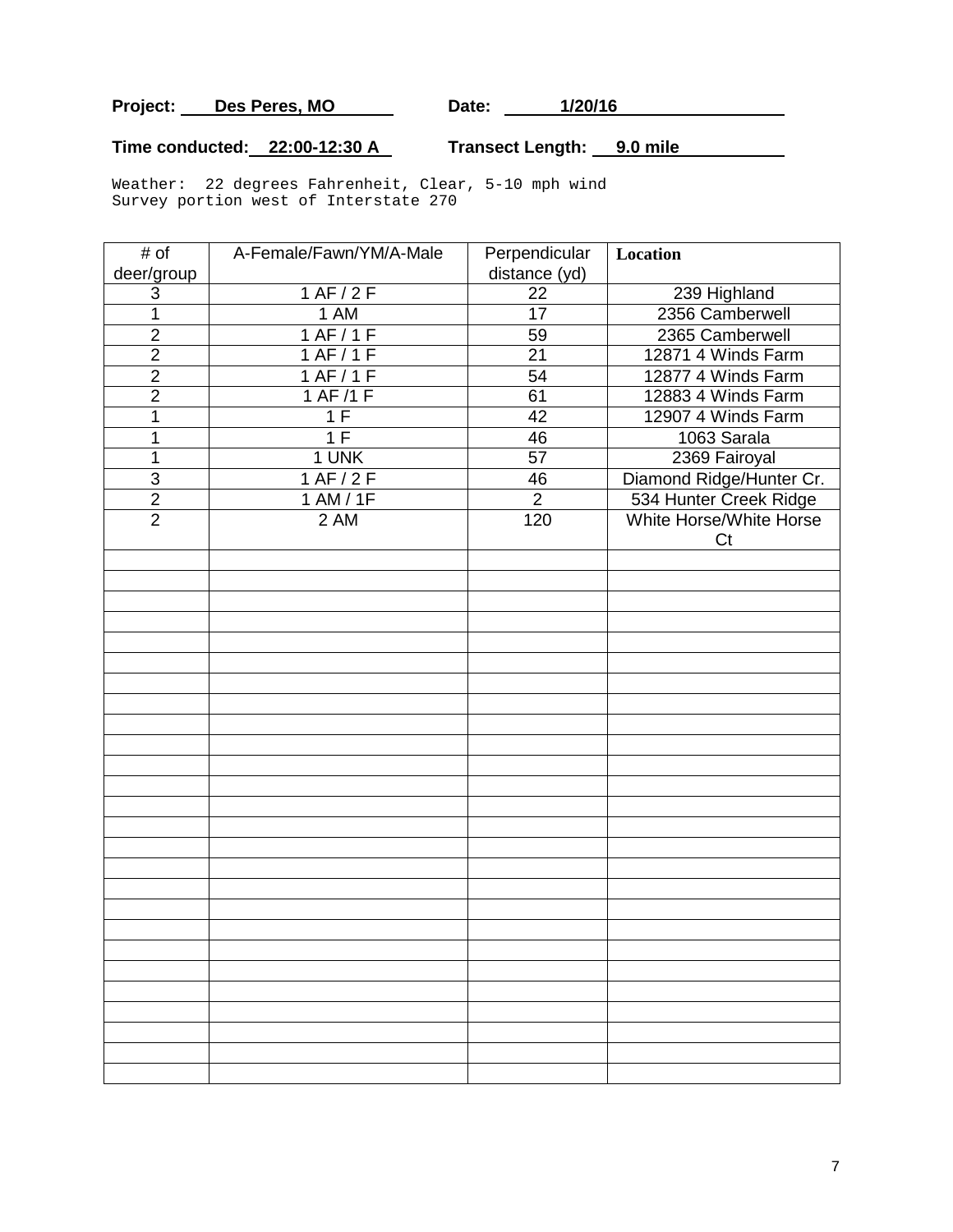Project: Des Peres, MO Date: 1/20/16

# **Time conducted: 22:00-12:30 A Transect Length: 9.0 mile**

Weather: 22 degrees Fahrenheit, Clear, 5-10 mph wind Survey portion west of Interstate 270

| # of           | A-Female/Fawn/YM/A-Male | Perpendicular   | <b>Location</b>               |
|----------------|-------------------------|-----------------|-------------------------------|
| deer/group     |                         | distance (yd)   |                               |
| 3              | 1 AF/2F                 | 22              | 239 Highland                  |
| $\mathbf 1$    | 1 AM                    | 17              | 2356 Camberwell               |
| $\overline{2}$ | 1 AF/1F                 | 59              | 2365 Camberwell               |
| $\overline{2}$ | 1 AF/1F                 | 21              | 12871 4 Winds Farm            |
| $\overline{2}$ | 1 AF/1F                 | 54              | 12877 4 Winds Farm            |
| $\overline{2}$ | 1 AF/1 F                | 61              | 12883 4 Winds Farm            |
| 1              | 1F                      | $\overline{42}$ | 12907 4 Winds Farm            |
| 1              | 1F                      | 46              | 1063 Sarala                   |
| $\mathbf 1$    | 1 UNK                   | 57              | 2369 Fairoyal                 |
| $\mathfrak{S}$ | 1 AF/2F                 | 46              | Diamond Ridge/Hunter Cr.      |
| $\overline{2}$ | 1 AM / 1F               | $\overline{2}$  | 534 Hunter Creek Ridge        |
| $\overline{2}$ | 2 AM                    | 120             | White Horse/White Horse<br>Ct |
|                |                         |                 |                               |
|                |                         |                 |                               |
|                |                         |                 |                               |
|                |                         |                 |                               |
|                |                         |                 |                               |
|                |                         |                 |                               |
|                |                         |                 |                               |
|                |                         |                 |                               |
|                |                         |                 |                               |
|                |                         |                 |                               |
|                |                         |                 |                               |
|                |                         |                 |                               |
|                |                         |                 |                               |
|                |                         |                 |                               |
|                |                         |                 |                               |
|                |                         |                 |                               |
|                |                         |                 |                               |
|                |                         |                 |                               |
|                |                         |                 |                               |
|                |                         |                 |                               |
|                |                         |                 |                               |
|                |                         |                 |                               |
|                |                         |                 |                               |
|                |                         |                 |                               |
|                |                         |                 |                               |
|                |                         |                 |                               |